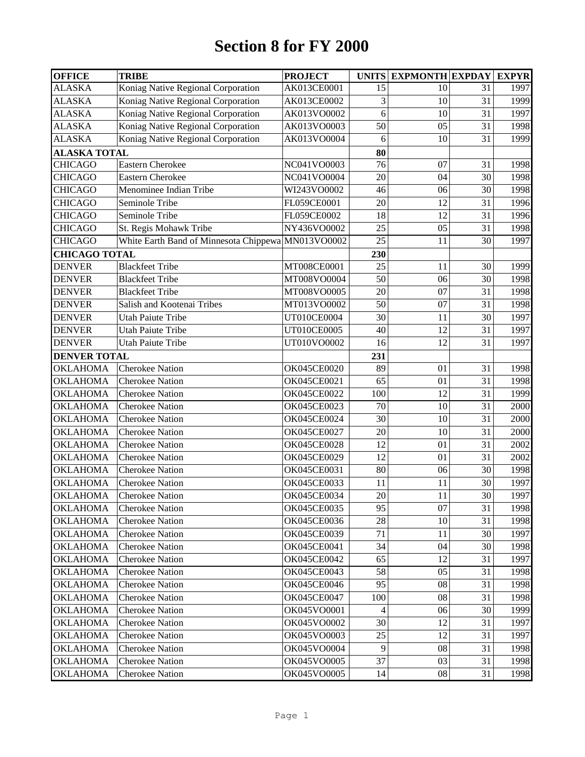## **Section 8 for FY 2000**

| <b>OFFICE</b>        | <b>TRIBE</b>                           | <b>PROJECT</b>     | <b>UNITS</b>    | <b>EXPMONTH EXPDAY</b> |    | <b>EXPYR</b> |
|----------------------|----------------------------------------|--------------------|-----------------|------------------------|----|--------------|
| ALASKA               | Koniag Native Regional Corporation     | AK013CE0001        | 15              | 10                     | 31 | 1997         |
| ALASKA               | Koniag Native Regional Corporation     | AK013CE0002        | 3               | $\overline{10}$        | 31 | 1999         |
| ALASKA               | Koniag Native Regional Corporation     | AK013VO0002        | 6               | 10                     | 31 | 1997         |
| ALASKA               | Koniag Native Regional Corporation     | AK013VO0003        | 50              | 05                     | 31 | 1998         |
| ALASKA               | Koniag Native Regional Corporation     | AK013VO0004        | 6               | 10                     | 31 | 1999         |
| <b>ALASKA TOTAL</b>  |                                        |                    | 80              |                        |    |              |
| CHICAGO              | Eastern Cherokee                       | NC041VO0003        | 76              | 07                     | 31 | 1998         |
| <b>CHICAGO</b>       | <b>Eastern Cherokee</b>                | NC041VO0004        | 20              | 04                     | 30 | 1998         |
| CHICAGO              | Menominee Indian Tribe                 | WI243VO0002        | 46              | 06                     | 30 | 1998         |
| CHICAGO              | Seminole Tribe                         | FL059CE0001        | 20              | 12                     | 31 | 1996         |
| CHICAGO              | Seminole Tribe                         | FL059CE0002        | 18              | $\overline{12}$        | 31 | 1996         |
| <b>CHICAGO</b>       | St. Regis Mohawk Tribe                 | NY436VO0002        | 25              | 05                     | 31 | 1998         |
| <b>CHICAGO</b>       | White Earth Band of Minnesota Chippewa | MN013VO0002        | 25              | 11                     | 30 | 1997         |
| <b>CHICAGO TOTAL</b> |                                        |                    | 230             |                        |    |              |
| <b>DENVER</b>        | <b>Blackfeet Tribe</b>                 | MT008CE0001        | 25              | 11                     | 30 | 1999         |
| <b>DENVER</b>        | <b>Blackfeet Tribe</b>                 | MT008VO0004        | 50              | 06                     | 30 | 1998         |
| <b>DENVER</b>        | <b>Blackfeet Tribe</b>                 | MT008VO0005        | 20              | 07                     | 31 | 1998         |
| <b>DENVER</b>        | Salish and Kootenai Tribes             | MT013VO0002        | 50              | 07                     | 31 | 1998         |
| <b>DENVER</b>        | <b>Utah Paiute Tribe</b>               | UT010CE0004        | 30              | 11                     | 30 | 1997         |
| <b>DENVER</b>        | <b>Utah Paiute Tribe</b>               | UT010CE0005        | 40              | 12                     | 31 | 1997         |
| <b>DENVER</b>        | <b>Utah Paiute Tribe</b>               | UT010VO0002        | 16              | 12                     | 31 | 1997         |
| <b>DENVER TOTAL</b>  |                                        |                    | 231             |                        |    |              |
| OKLAHOMA             | <b>Cherokee Nation</b>                 | OK045CE0020        | 89              | 01                     | 31 | 1998         |
| <b>OKLAHOMA</b>      | <b>Cherokee Nation</b>                 | OK045CE0021        | 65              | 01                     | 31 | 1998         |
| <b>OKLAHOMA</b>      | <b>Cherokee Nation</b>                 | OK045CE0022        | 100             | 12                     | 31 | 1999         |
| <b>OKLAHOMA</b>      | <b>Cherokee Nation</b>                 | OK045CE0023        | 70              | 10                     | 31 | 2000         |
| OKLAHOMA             | <b>Cherokee Nation</b>                 | <b>OK045CE0024</b> | 30              | 10                     | 31 | 2000         |
| OKLAHOMA             | <b>Cherokee Nation</b>                 | <b>OK045CE0027</b> | 20              | 10                     | 31 | 2000         |
| OKLAHOMA             | <b>Cherokee Nation</b>                 | <b>OK045CE0028</b> | 12              | 01                     | 31 | 2002         |
| OKLAHOMA             | <b>Cherokee Nation</b>                 | OK045CE0029        | 12              | 01                     | 31 | 2002         |
| OKLAHOMA             | <b>Cherokee Nation</b>                 | OK045CE0031        | 80              | 06                     | 30 | 1998         |
| OKLAHOMA             | <b>Cherokee Nation</b>                 | OK045CE0033        | 11              | 11                     | 30 | 1997         |
| OKLAHOMA             | <b>Cherokee Nation</b>                 | OK045CE0034        | 20              | 11                     | 30 | 1997         |
| OKLAHOMA             | <b>Cherokee Nation</b>                 | OK045CE0035        | 95              | 07                     | 31 | 1998         |
| OKLAHOMA             | <b>Cherokee Nation</b>                 | <b>OK045CE0036</b> | 28              | 10                     | 31 | 1998         |
| OKLAHOMA             | <b>Cherokee Nation</b>                 | OK045CE0039        | 71              | 11                     | 30 | 1997         |
| OKLAHOMA             | <b>Cherokee Nation</b>                 | OK045CE0041        | 34              | 04                     | 30 | 1998         |
| OKLAHOMA             | <b>Cherokee Nation</b>                 | OK045CE0042        | 65              | 12                     | 31 | 1997         |
| OKLAHOMA             | <b>Cherokee Nation</b>                 | OK045CE0043        | 58              | 05                     | 31 | 1998         |
| OKLAHOMA             | <b>Cherokee Nation</b>                 | OK045CE0046        | 95              | 08                     | 31 | 1998         |
| OKLAHOMA             | <b>Cherokee Nation</b>                 | OK045CE0047        | 100             | 08                     | 31 | 1998         |
| OKLAHOMA             | <b>Cherokee Nation</b>                 | OK045VO0001        | $\overline{4}$  | 06                     | 30 | 1999         |
| <b>OKLAHOMA</b>      | <b>Cherokee Nation</b>                 | OK045VO0002        | 30              | 12                     | 31 | 1997         |
| <b>OKLAHOMA</b>      | <b>Cherokee Nation</b>                 | OK045VO0003        | $\overline{2}5$ | 12                     | 31 | 1997         |
| OKLAHOMA             | <b>Cherokee Nation</b>                 | OK045VO0004        | 9               | 08                     | 31 | 1998         |
| OKLAHOMA             | <b>Cherokee Nation</b>                 | OK045VO0005        | 37              | 03                     | 31 | 1998         |
| <b>OKLAHOMA</b>      | <b>Cherokee Nation</b>                 | OK045VO0005        | 14              | 08                     | 31 | 1998         |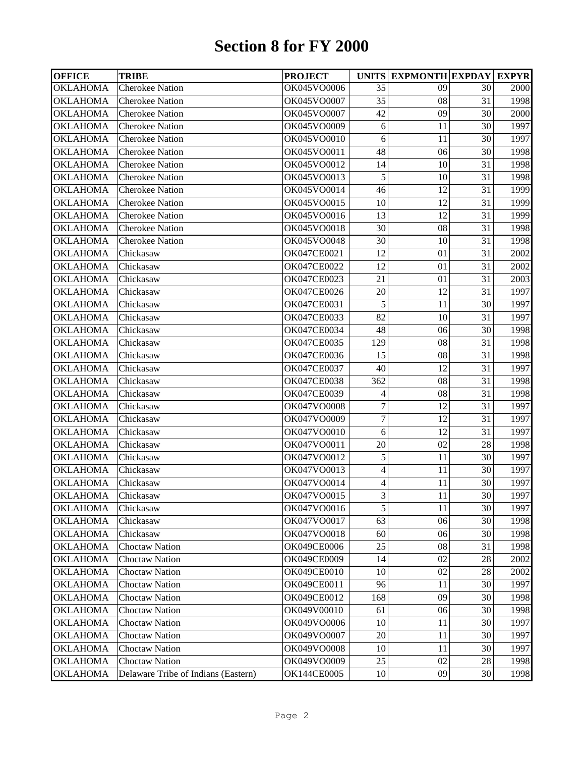## **Section 8 for FY 2000**

| 30<br>31<br>30<br>30<br>30<br>30<br>31 | 2000<br>1998<br>2000<br>1997<br>1997<br>1998 |
|----------------------------------------|----------------------------------------------|
|                                        |                                              |
|                                        |                                              |
|                                        |                                              |
|                                        |                                              |
|                                        |                                              |
|                                        |                                              |
|                                        | 1998                                         |
| 31                                     | 1998                                         |
| 31                                     | 1999                                         |
| 31                                     | 1999                                         |
| 31                                     | 1999                                         |
| 31                                     | 1998                                         |
| 31                                     | 1998                                         |
| 31                                     | 2002                                         |
| 31                                     | 2002                                         |
| 31                                     | 2003                                         |
| 31                                     | 1997                                         |
| 30                                     | 1997                                         |
| 31                                     | 1997                                         |
| 30                                     | 1998                                         |
| 31                                     | 1998                                         |
| 31                                     | 1998                                         |
| 31                                     | 1997                                         |
| 31                                     | 1998                                         |
| 31                                     | 1998                                         |
| 31                                     | 1997                                         |
| 31                                     | 1997                                         |
| 31                                     | 1997                                         |
| 28                                     | 1998                                         |
| 30                                     | 1997                                         |
| 30                                     | 1997                                         |
| 30                                     | 1997                                         |
| 30                                     | 1997                                         |
| 30                                     | 1997                                         |
| 30                                     | 1998                                         |
| 30                                     | 1998                                         |
| 31                                     | 1998                                         |
| 28                                     | 2002                                         |
| 28                                     | 2002                                         |
| 30                                     | 1997                                         |
| 30                                     | 1998                                         |
|                                        | 1998                                         |
| 30                                     | 1997                                         |
|                                        | 1997                                         |
|                                        | 1997                                         |
|                                        | 1998                                         |
| 30                                     | 1998                                         |
|                                        | 30<br>30<br>30<br>28                         |